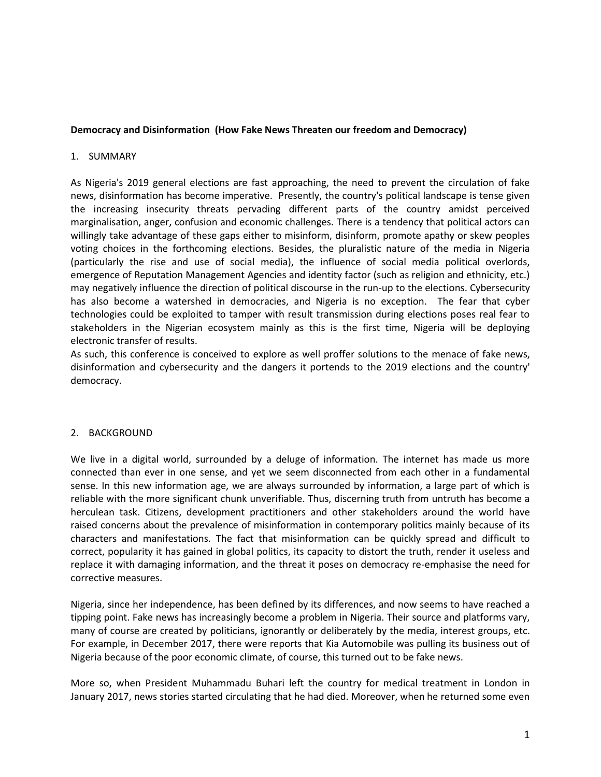## **Democracy and Disinformation (How Fake News Threaten our freedom and Democracy)**

## 1. SUMMARY

As Nigeria's 2019 general elections are fast approaching, the need to prevent the circulation of fake news, disinformation has become imperative. Presently, the country's political landscape is tense given the increasing insecurity threats pervading different parts of the country amidst perceived marginalisation, anger, confusion and economic challenges. There is a tendency that political actors can willingly take advantage of these gaps either to misinform, disinform, promote apathy or skew peoples voting choices in the forthcoming elections. Besides, the pluralistic nature of the media in Nigeria (particularly the rise and use of social media), the influence of social media political overlords, emergence of Reputation Management Agencies and identity factor (such as religion and ethnicity, etc.) may negatively influence the direction of political discourse in the run-up to the elections. Cybersecurity has also become a watershed in democracies, and Nigeria is no exception. The fear that cyber technologies could be exploited to tamper with result transmission during elections poses real fear to stakeholders in the Nigerian ecosystem mainly as this is the first time, Nigeria will be deploying electronic transfer of results.

As such, this conference is conceived to explore as well proffer solutions to the menace of fake news, disinformation and cybersecurity and the dangers it portends to the 2019 elections and the country' democracy.

## 2. BACKGROUND

We live in a digital world, surrounded by a deluge of information. The internet has made us more connected than ever in one sense, and yet we seem disconnected from each other in a fundamental sense. In this new information age, we are always surrounded by information, a large part of which is reliable with the more significant chunk unverifiable. Thus, discerning truth from untruth has become a herculean task. Citizens, development practitioners and other stakeholders around the world have raised concerns about the prevalence of misinformation in contemporary politics mainly because of its characters and manifestations. The fact that misinformation can be quickly spread and difficult to correct, popularity it has gained in global politics, its capacity to distort the truth, render it useless and replace it with damaging information, and the threat it poses on democracy re-emphasise the need for corrective measures.

Nigeria, since her independence, has been defined by its differences, and now seems to have reached a tipping point. Fake news has increasingly become a problem in Nigeria. Their source and platforms vary, many of course are created by politicians, ignorantly or deliberately by the media, interest groups, etc. For example, in December 2017, there were reports that Kia Automobile was pulling its business out of Nigeria because of the poor economic climate, of course, this turned out to be fake news.

More so, when President Muhammadu Buhari left the country for medical treatment in London in January 2017, news stories started circulating that he had died. Moreover, when he returned some even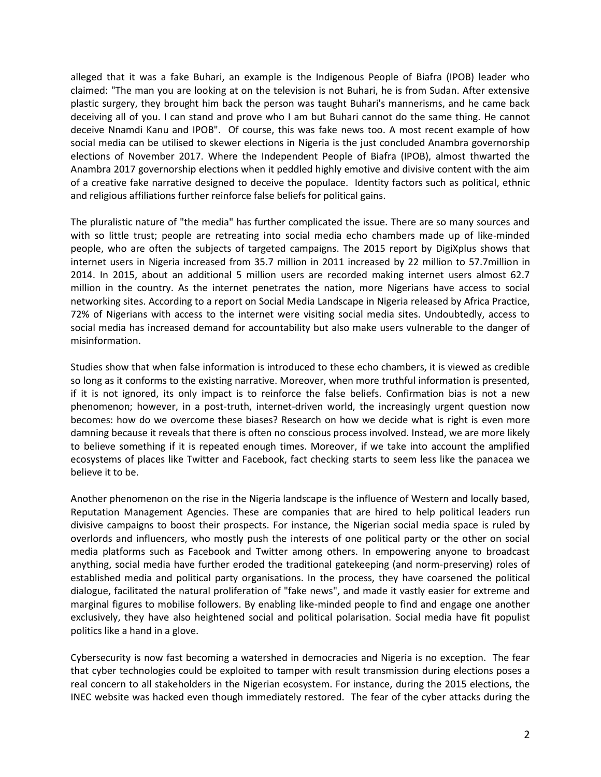alleged that it was a fake Buhari, an example is the Indigenous People of Biafra (IPOB) leader who claimed: "The man you are looking at on the television is not Buhari, he is from Sudan. After extensive plastic surgery, they brought him back the person was taught Buhari's mannerisms, and he came back deceiving all of you. I can stand and prove who I am but Buhari cannot do the same thing. He cannot deceive Nnamdi Kanu and IPOB". Of course, this was fake news too. A most recent example of how social media can be utilised to skewer elections in Nigeria is the just concluded Anambra governorship elections of November 2017. Where the Independent People of Biafra (IPOB), almost thwarted the Anambra 2017 governorship elections when it peddled highly emotive and divisive content with the aim of a creative fake narrative designed to deceive the populace. Identity factors such as political, ethnic and religious affiliations further reinforce false beliefs for political gains.

The pluralistic nature of "the media" has further complicated the issue. There are so many sources and with so little trust; people are retreating into social media echo chambers made up of like-minded people, who are often the subjects of targeted campaigns. The 2015 report by DigiXplus shows that internet users in Nigeria increased from 35.7 million in 2011 increased by 22 million to 57.7million in 2014. In 2015, about an additional 5 million users are recorded making internet users almost 62.7 million in the country. As the internet penetrates the nation, more Nigerians have access to social networking sites. According to a report on Social Media Landscape in Nigeria released by Africa Practice, 72% of Nigerians with access to the internet were visiting social media sites. Undoubtedly, access to social media has increased demand for accountability but also make users vulnerable to the danger of misinformation.

Studies show that when false information is introduced to these echo chambers, it is viewed as credible so long as it conforms to the existing narrative. Moreover, when more truthful information is presented, if it is not ignored, its only impact is to reinforce the false beliefs. Confirmation bias is not a new phenomenon; however, in a post-truth, internet-driven world, the increasingly urgent question now becomes: how do we overcome these biases? Research on how we decide what is right is even more damning because it reveals that there is often no conscious process involved. Instead, we are more likely to believe something if it is repeated enough times. Moreover, if we take into account the amplified ecosystems of places like Twitter and Facebook, fact checking starts to seem less like the panacea we believe it to be.

Another phenomenon on the rise in the Nigeria landscape is the influence of Western and locally based, Reputation Management Agencies. These are companies that are hired to help political leaders run divisive campaigns to boost their prospects. For instance, the Nigerian social media space is ruled by overlords and influencers, who mostly push the interests of one political party or the other on social media platforms such as Facebook and Twitter among others. In empowering anyone to broadcast anything, social media have further eroded the traditional gatekeeping (and norm-preserving) roles of established media and political party organisations. In the process, they have coarsened the political dialogue, facilitated the natural proliferation of "fake news", and made it vastly easier for extreme and marginal figures to mobilise followers. By enabling like-minded people to find and engage one another exclusively, they have also heightened social and political polarisation. Social media have fit populist politics like a hand in a glove.

Cybersecurity is now fast becoming a watershed in democracies and Nigeria is no exception. The fear that cyber technologies could be exploited to tamper with result transmission during elections poses a real concern to all stakeholders in the Nigerian ecosystem. For instance, during the 2015 elections, the INEC website was hacked even though immediately restored. The fear of the cyber attacks during the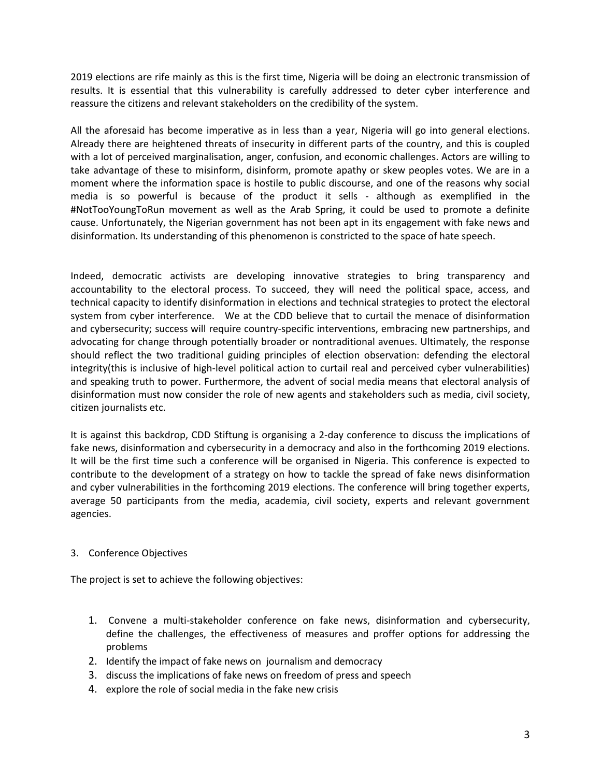2019 elections are rife mainly as this is the first time, Nigeria will be doing an electronic transmission of results. It is essential that this vulnerability is carefully addressed to deter cyber interference and reassure the citizens and relevant stakeholders on the credibility of the system.

All the aforesaid has become imperative as in less than a year, Nigeria will go into general elections. Already there are heightened threats of insecurity in different parts of the country, and this is coupled with a lot of perceived marginalisation, anger, confusion, and economic challenges. Actors are willing to take advantage of these to misinform, disinform, promote apathy or skew peoples votes. We are in a moment where the information space is hostile to public discourse, and one of the reasons why social media is so powerful is because of the product it sells - although as exemplified in the #NotTooYoungToRun movement as well as the Arab Spring, it could be used to promote a definite cause. Unfortunately, the Nigerian government has not been apt in its engagement with fake news and disinformation. Its understanding of this phenomenon is constricted to the space of hate speech.

Indeed, democratic activists are developing innovative strategies to bring transparency and accountability to the electoral process. To succeed, they will need the political space, access, and technical capacity to identify disinformation in elections and technical strategies to protect the electoral system from cyber interference. We at the CDD believe that to curtail the menace of disinformation and cybersecurity; success will require country-specific interventions, embracing new partnerships, and advocating for change through potentially broader or nontraditional avenues. Ultimately, the response should reflect the two traditional guiding principles of election observation: defending the electoral integrity(this is inclusive of high-level political action to curtail real and perceived cyber vulnerabilities) and speaking truth to power. Furthermore, the advent of social media means that electoral analysis of disinformation must now consider the role of new agents and stakeholders such as media, civil society, citizen journalists etc.

It is against this backdrop, CDD Stiftung is organising a 2-day conference to discuss the implications of fake news, disinformation and cybersecurity in a democracy and also in the forthcoming 2019 elections. It will be the first time such a conference will be organised in Nigeria. This conference is expected to contribute to the development of a strategy on how to tackle the spread of fake news disinformation and cyber vulnerabilities in the forthcoming 2019 elections. The conference will bring together experts, average 50 participants from the media, academia, civil society, experts and relevant government agencies.

## 3. Conference Objectives

The project is set to achieve the following objectives:

- 1. Convene a multi-stakeholder conference on fake news, disinformation and cybersecurity, define the challenges, the effectiveness of measures and proffer options for addressing the problems
- 2. Identify the impact of fake news on journalism and democracy
- 3. discuss the implications of fake news on freedom of press and speech
- 4. explore the role of social media in the fake new crisis